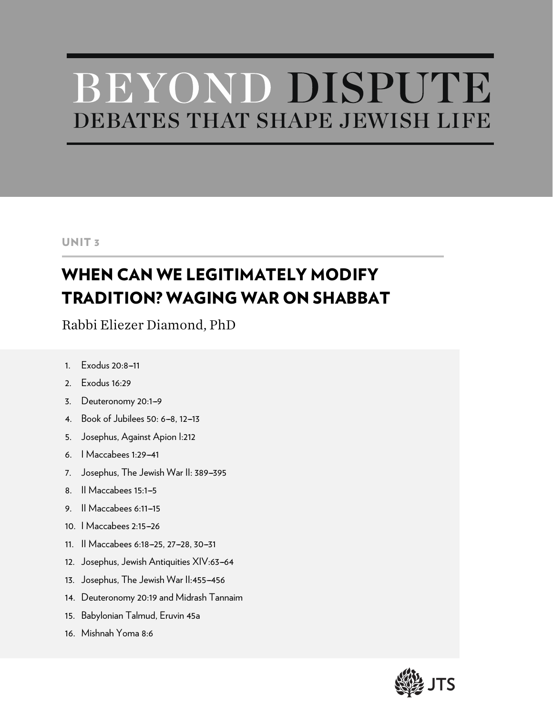# BEYOND DISPUTE DEBATES THAT SHAPE JEWISH LIFE

# UNIT 3

# WHEN CAN WE LEGITIMATELY MODIFY TRADITION? WAGING WAR ON SHABBAT

Rabbi Eliezer Diamond, PhD

- 1  $20.8-11$
- 2. Exodus 16:29
- 3. Deuteronomy 20:1-9
- 4. Book of Jubilees 50: 6-8, 12-13
- 5. Josephus, Against Apion I:212
- 6. | Maccabees 1:29-41
- 7. Josephus, The Jewish War II: 389-395
- 8. Il Maccabees 15:1-5
- 9. Il Maccabees 6:11-15
- 10. | Maccabees 2:15-26
- 11. Il Maccabees 6:18-25, 27-28, 30-31
- 12. Josephus, Jewish Antiquities XIV:63-64
- 13. Josephus, The Jewish War II:455-456
- 14. Deuteronomy 20:19 and Midrash Tannaim
- 15. Babylonian Talmud, Eruvin 45a
- 16. Mishnah Yoma 8:6

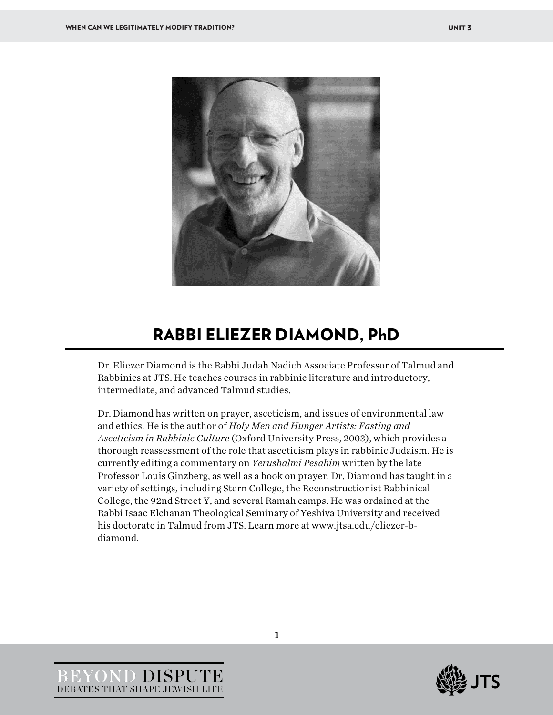

# RABBI ELIEZER DIAMOND, PhD

Dr. Eliezer Diamond is the Rabbi Judah Nadich Associate Professor of Talmud and Rabbinics at JTS. He teaches courses in rabbinic literature and introductory, intermediate, and advanced Talmud studies.

Dr. Diamond has written on prayer, asceticism, and issues of environmental law and ethics. He is the author of *Holy Men and Hunger Artists: Fasting and Asceticism in Rabbinic Culture* (Oxford University Press, 2003), which provides a thorough reassessment of the role that asceticism plays in rabbinic Judaism. He is currently editing a commentary on *Yerushalmi Pesahim* written by the late Professor Louis Ginzberg, as well as a book on prayer. Dr. Diamond has taught in a variety of settings, including Stern College, the Reconstructionist Rabbinical College, the 92nd Street Y, and several Ramah camps. He was ordained at the Rabbi Isaac Elchanan Theological Seminary of Yeshiva University and received his doctorate in Talmud from JTS. Learn more at www.jtsa.edu/eliezer-bdiamond.

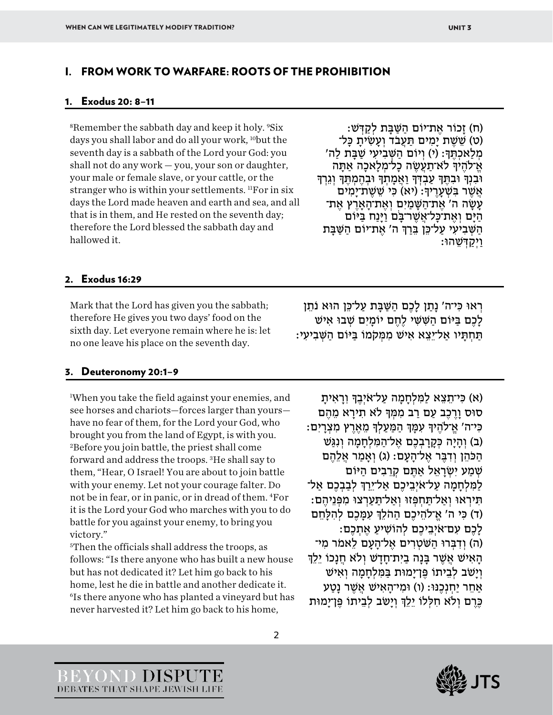#### I. FROM WORK TO WARFARE: ROOTS OF THE PROHIBITION

#### 1. Exodus 20: 8–11

<sup>8</sup>Remember the sabbath day and keep it holy. <sup>9</sup>Six days you shall labor and do all your work, <sup>10</sup>but the seventh day is a sabbath of the Lord your God: you shall not do any work — you, your son or daughter, your male or female slave, or your cattle, or the stranger who is within your settlements.  ${}^{11}$ For in six days the Lord made heaven and earth and sea, and all that is in them, and He rested on the seventh day; therefore the Lord blessed the sabbath day and hallowed it.

(ח) זָכוֹר אֶ ת־יוֹם הַ שַּׁ בָּ ת לְקַ דְּ שׁ: (ט) שֵׁשֵׁת יָמִים תַּעֲבֹד וְעָשִׂיתָ כָּל־ 'מְלַאכְתֶּךְ: (י) וְיוֹם הַשָּׁבְיעִי שַׁבַּת לַה אַ־לֹהֶידְּ לֹא־תַעֲשֶׂה כַל־מְלֹאכה אַתָּה וּבְנִדְּ וּבְתֵּךְּ עַבְדְּדְּ וַאֲמַתְךָ וּבְהֶמְתֵּךְ וְגֵרְךָ ּ אֲשֶׁת־יָמִים (יא) כִּי שֵׁשֶׁת־יָמִים ֿעָשָׂה ה' אֶת־הַשָּׁמַיִם וְאֶת־הָאָרֶץ אֶת־<br>הַיָּם וְאֶת־כָּל־אֱשֶׁר־בַּם וַיַּנַח בַּיּוֹם הַשָּׁבִיעִי עַל־כֵּן בֵּרַךְּ ה' אֶת־יוֹם הַשַּׁבַּת וַיְקַ דְּ שֵׁ הוּ:

#### 2. Exodus 16:29

Mark that the Lord has given you the sabbath; therefore He gives you two days' food on the sixth day. Let everyone remain where he is: let no one leave his place on the seventh day.

#### 3. Deuteronomy 20:1–9

1 When you take the field against your enemies, and see horses and chariots—forces larger than yours have no fear of them, for the Lord your God, who brought you from the land of Egypt, is with you. 2Before you join battle, the priest shall come forward and address the troops. 3He shall say to them, "Hear, O Israel! You are about to join battle with your enemy. Let not your courage falter. Do not be in fear, or in panic, or in dread of them. 4For it is the Lord your God who marches with you to do battle for you against your enemy, to bring you victory."

5Then the officials shall address the troops, as follows: "Is there anyone who has built a new house but has not dedicated it? Let him go back to his home, lest he die in battle and another dedicate it. 6Is there anyone who has planted a vineyard but has never harvested it? Let him go back to his home,

ּרְאוּ כִּי־ה' נַתַן לַכֶם הַשַּׁבַּת עַל־כֵּן הוּא נֹתֵן לָכֶם בַּ יּוֹם הַ שִּׁ שִּׁ י לֶחֶ ם יוֹמָ יִם שְׁ וּב אִ ישׁ תָּ חְ תַּ יו אַל־יֵצֵ א אִ ישׁ מְּ מִ קֹמוֹ בַּ יּוֹם הַ שְּׁ בִ יעִ י:

(א) כּי־תִצא למֵלחמה עַל־אִיבִדְ וראית ּסוּס וַרֶכֶב עַם רַב מִמְּדְּ לֹא תִירַא מֶהֶם ּכִּי־ה' אֱ־לֹהֶיךָּ עָמֵּךְּ הַמַּעַלְךָּ מֶאֶרֶץ מִצְרַיִם: (ב) וְהַיָּה כְּקָרַבְבֶם אֱל־הַמְּלְחַמַה וְנְגַּשׁ הַכֹּהֵן וְדִבֶּר אֵל־הָעָם: (ג) וְאָמַר אֱלֶהֶם שְׁמַע יִשְׂרַאֵל אַתֶּם קְרֵבִים הַיּוֹם לַמִּלְחָמָה עַל־אֹיְבֵיכֶם אַל־יֵרַךְּ לְבַבְכֶם אַל־ תִּ ירְ אוּ וְ אַל־תַּ חְ פְּ זוּ וְ אַל־תַּ עַ רְ צוּ מִ פְּ נֵיהֶ ם: (ד) כִּי ה' אֱ־לֹהֵיכֶם הַהֹלֵךְ עָמַּכֶם לִהְלַחֵם ֿלָכֶם עִם־אֹיְבֵיכֶם לְהוֹשִׁיעַ אֶתְכֶם: (ה) וְדִבְּרוּ הַשֹּׁטְרִים אֱל־הַעָם לֵאמֹר מִי־ הָאִישׁ אֵשֶׁר בִּנָה בַיִת־חִדְשׁ וְלֹא חֲנָכוֹ יֶלֶ וְ יָשֹׁב לְבֵיתוֹ פֶּן־יָמוּת בַּ מִּ לְחָ מָ ה וְ אִ ישׁ אַחֶר יַחֲנָכְנּוּ: (ו) וּמִי־הָאִישׁ אֲשֶׁר נַטַע ּכֶּרֶם וְלֹא חִלְלוֹ יֵלֵךְ וְיַשֹּׁב לְבֵיתוֹ פֵּן־יַמוּת



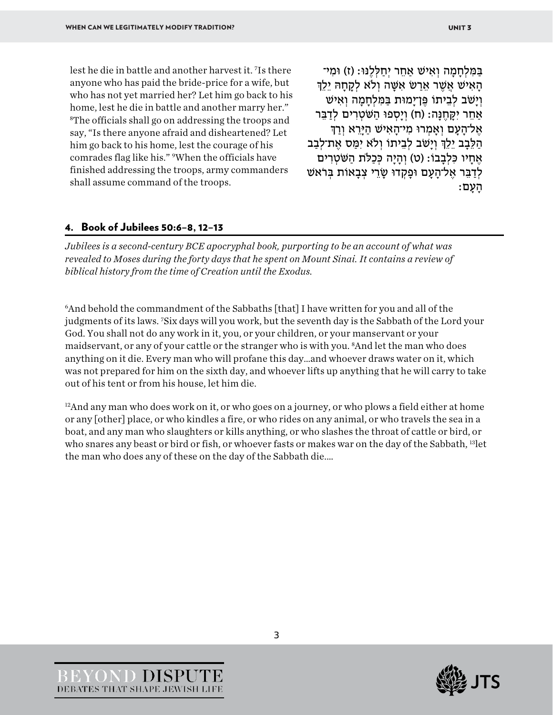lest he die in battle and another harvest it. 7 Is there anyone who has paid the bride-price for a wife, but who has not yet married her? Let him go back to his home, lest he die in battle and another marry her." 8The officials shall go on addressing the troops and say, "Is there anyone afraid and disheartened? Let him go back to his home, lest the courage of his comrades flag like his." 9When the officials have finished addressing the troops, army commanders shall assume command of the troops.

בַּמְּלְחָמָה וְאִישׁ אַחֶר יְחַלְלֶנּוּ: (ז) וּמִי־ הָ אֵשׁר אֵרָט אָשָׁה וְלֹא לְקָחָהּ יֶלֶךְ וְ יָשֹׁב לְבֵיתוֹ פֶּן־יָמוּת בַּ מִּ לְחָ מָ ה וְ אִ ישׁ אַחֶר יִקְחֶנָּה: (ח) וְיַסְפוּ הַשְּׂטְרִים לְדַבֵּר אֶל־הַעָם וְאֵמְרוּ מִי־הָאִישׁ הַיַּרֵא וְרַךְ הַלֶּבָב יֵלֵךְ וְיַשׁׁב לְבֵיתוֹ וְלֹא יִמַּס אֶת־לִבַּב אֶחַיו כִּלְבָבוֹ: (ט) וְהַיַּה כִּכַלֹּת הַשִּׁטְרִים לְדַבֵּר אֶל־הָעָם וּפָקְדוּ שָׂרֵי צְבָאוֹת בִּרֹאשׁ הָ עָ ם:

#### 4. Book of Jubilees 50:6–8, 12–13

*Jubilees is a second-century BCE apocryphal book, purporting to be an account of what was revealed to Moses during the forty days that he spent on Mount Sinai. It contains a review of biblical history from the time of Creation until the Exodus.* 

6And behold the commandment of the Sabbaths [that] I have written for you and all of the judgments of its laws. 7 Six days will you work, but the seventh day is the Sabbath of the Lord your God. You shall not do any work in it, you, or your children, or your manservant or your maidservant, or any of your cattle or the stranger who is with you. <sup>8</sup>And let the man who does anything on it die. Every man who will profane this day…and whoever draws water on it, which was not prepared for him on the sixth day, and whoever lifts up anything that he will carry to take out of his tent or from his house, let him die.

<sup>12</sup>And any man who does work on it, or who goes on a journey, or who plows a field either at home or any [other] place, or who kindles a fire, or who rides on any animal, or who travels the sea in a boat, and any man who slaughters or kills anything, or who slashes the throat of cattle or bird, or who snares any beast or bird or fish, or whoever fasts or makes war on the day of the Sabbath, 13let the man who does any of these on the day of the Sabbath die.…



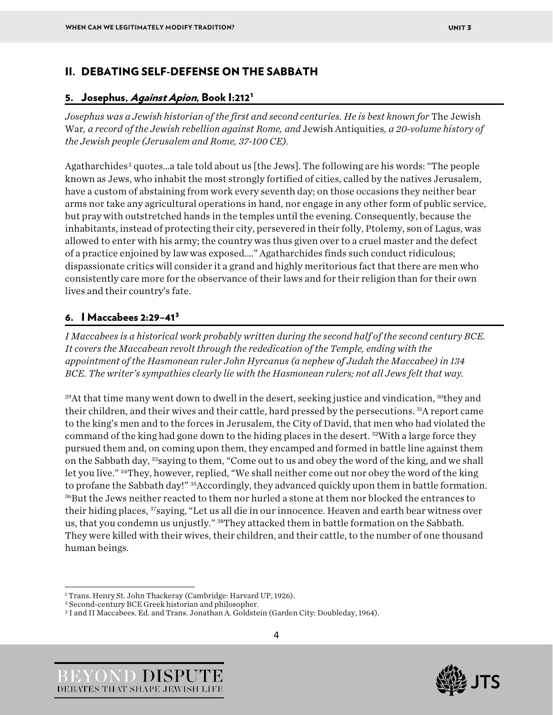# II. DEBATING SELF-DEFENSE ON THE SABBATH

#### 5. Josephus, Against Apion, Book [1](#page-4-0):212<sup>1</sup>

*Josephus was a Jewish historian of the first and second centuries. He is best known for* The Jewish War*, a record of the Jewish rebellion against Rome, and* Jewish Antiquities*, a 20-volume history of the Jewish people (Jerusalem and Rome, 37-100 CE).*

Agatharchides<sup>[2](#page-4-1)</sup> quotes...a tale told about us [the Jews]. The following are his words: "The people known as Jews, who inhabit the most strongly fortified of cities, called by the natives Jerusalem, have a custom of abstaining from work every seventh day; on those occasions they neither bear arms nor take any agricultural operations in hand, nor engage in any other form of public service, but pray with outstretched hands in the temples until the evening. Consequently, because the inhabitants, instead of protecting their city, persevered in their folly, Ptolemy, son of Lagus, was allowed to enter with his army; the country was thus given over to a cruel master and the defect of a practice enjoined by law was exposed.…" Agatharchides finds such conduct ridiculous; dispassionate critics will consider it a grand and highly meritorious fact that there are men who consistently care more for the observance of their laws and for their religion than for their own lives and their country's fate.

# 6.  $I$  Maccabees 2:29-41<sup>[3](#page-4-2)</sup>

*I Maccabees is a historical work probably written during the second half of the second century BCE. It covers the Maccabean revolt through the rededication of the Temple, ending with the appointment of the Hasmonean ruler John Hyrcanus (a nephew of Judah the Maccabee) in 134 BCE. The writer's sympathies clearly lie with the Hasmonean rulers; not all Jews felt that way.*

<sup>29</sup>At that time many went down to dwell in the desert, seeking justice and vindication, <sup>30</sup>they and their children, and their wives and their cattle, hard pressed by the persecutions. 31A report came to the king's men and to the forces in Jerusalem, the City of David, that men who had violated the command of the king had gone down to the hiding places in the desert. <sup>32</sup>With a large force they pursued them and, on coming upon them, they encamped and formed in battle line against them on the Sabbath day, 33saying to them, "Come out to us and obey the word of the king, and we shall let you live." 34They, however, replied, "We shall neither come out nor obey the word of the king to profane the Sabbath day!" 35Accordingly, they advanced quickly upon them in battle formation. 36But the Jews neither reacted to them nor hurled a stone at them nor blocked the entrances to their hiding places, <sup>37</sup>saying, "Let us all die in our innocence. Heaven and earth bear witness over us, that you condemn us unjustly." 38They attacked them in battle formation on the Sabbath. They were killed with their wives, their children, and their cattle, to the number of one thousand human beings.





<span id="page-4-0"></span> $^1$  Trans. Henry St. John Thackeray (Cambridge: Harvard UP, 1926).  $^2$  Second-century BCE Greek historian and philosopher.

<span id="page-4-1"></span>

<span id="page-4-2"></span><sup>3</sup> I and II Maccabees. Ed. and Trans. Jonathan A. Goldstein (Garden City: Doubleday, 1964).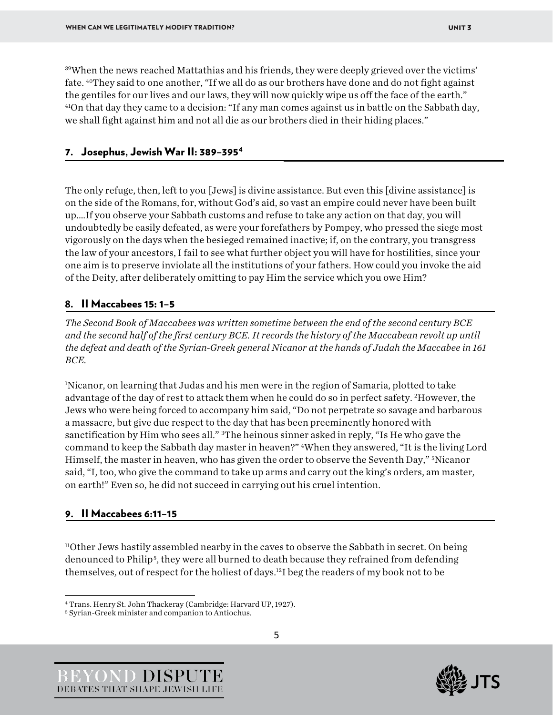39When the news reached Mattathias and his friends, they were deeply grieved over the victims' fate. 40They said to one another, "If we all do as our brothers have done and do not fight against the gentiles for our lives and our laws, they will now quickly wipe us off the face of the earth." 41On that day they came to a decision: "If any man comes against us in battle on the Sabbath day, we shall fight against him and not all die as our brothers died in their hiding places."

### 7. Josephus, Jewish War II: 389–39[54](#page-5-0)

The only refuge, then, left to you [Jews] is divine assistance. But even this [divine assistance] is on the side of the Romans, for, without God's aid, so vast an empire could never have been built up.…If you observe your Sabbath customs and refuse to take any action on that day, you will undoubtedly be easily defeated, as were your forefathers by Pompey, who pressed the siege most vigorously on the days when the besieged remained inactive; if, on the contrary, you transgress the law of your ancestors, I fail to see what further object you will have for hostilities, since your one aim is to preserve inviolate all the institutions of your fathers. How could you invoke the aid of the Deity, after deliberately omitting to pay Him the service which you owe Him?

## **8.** II Maccabees 15: 1–5

*The Second Book of Maccabees was written sometime between the end of the second century BCE and the second half of the first century BCE. It records the history of the Maccabean revolt up until the defeat and death of the Syrian-Greek general Nicanor at the hands of Judah the Maccabee in 161 BCE.*

1 Nicanor, on learning that Judas and his men were in the region of Samaria, plotted to take advantage of the day of rest to attack them when he could do so in perfect safety. <sup>2</sup>However, the Jews who were being forced to accompany him said, "Do not perpetrate so savage and barbarous a massacre, but give due respect to the day that has been preeminently honored with sanctification by Him who sees all." <sup>3</sup>The heinous sinner asked in reply, "Is He who gave the command to keep the Sabbath day master in heaven?" <sup>4</sup>When they answered, "It is the living Lord Himself, the master in heaven, who has given the order to observe the Seventh Day," 5Nicanor said, "I, too, who give the command to take up arms and carry out the king's orders, am master, on earth!" Even so, he did not succeed in carrying out his cruel intention.

#### 9. II Maccabees 6:11–15

 $11$ Other Jews hastily assembled nearby in the caves to observe the Sabbath in secret. On being denounced to Philip[5](#page-5-1), they were all burned to death because they refrained from defending themselves, out of respect for the holiest of days.12I beg the readers of my book not to be





<span id="page-5-0"></span><sup>4</sup> Trans. Henry St. John Thackeray (Cambridge: Harvard UP, 1927). 5 Syrian-Greek minister and companion to Antiochus.

<span id="page-5-1"></span>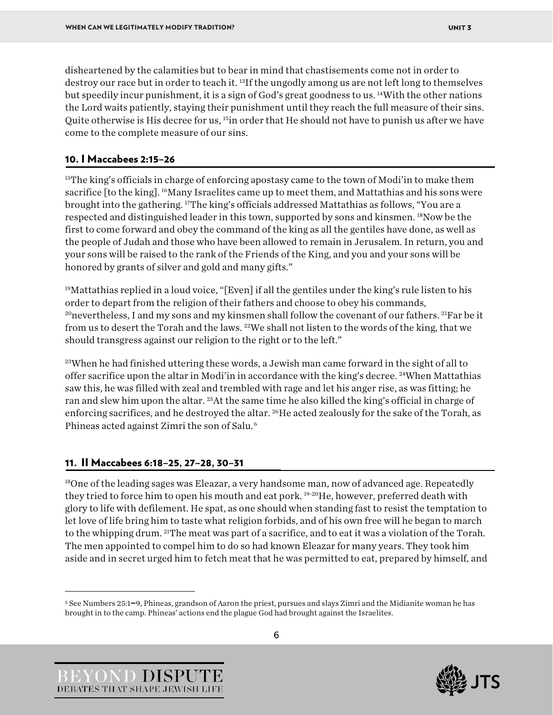disheartened by the calamities but to bear in mind that chastisements come not in order to destroy our race but in order to teach it. <sup>13</sup>If the ungodly among us are not left long to themselves but speedily incur punishment, it is a sign of God's great goodness to us. 14With the other nations the Lord waits patiently, staying their punishment until they reach the full measure of their sins. Quite otherwise is His decree for us, 15in order that He should not have to punish us after we have come to the complete measure of our sins.

## 10. I Maccabees 2:15–26

<sup>15</sup>The king's officials in charge of enforcing apostasy came to the town of Modi'in to make them sacrifice [to the king]. 16Many Israelites came up to meet them, and Mattathias and his sons were brought into the gathering. 17The king's officials addressed Mattathias as follows, "You are a respected and distinguished leader in this town, supported by sons and kinsmen. 18Now be the first to come forward and obey the command of the king as all the gentiles have done, as well as the people of Judah and those who have been allowed to remain in Jerusalem. In return, you and your sons will be raised to the rank of the Friends of the King, and you and your sons will be honored by grants of silver and gold and many gifts."

<sup>19</sup>Mattathias replied in a loud voice, "[Even] if all the gentiles under the king's rule listen to his order to depart from the religion of their fathers and choose to obey his commands, <sup>20</sup>nevertheless, I and my sons and my kinsmen shall follow the covenant of our fathers. <sup>21</sup>Far be it from us to desert the Torah and the laws. <sup>22</sup>We shall not listen to the words of the king, that we should transgress against our religion to the right or to the left."

<sup>23</sup>When he had finished uttering these words, a Jewish man came forward in the sight of all to offer sacrifice upon the altar in Modi'in in accordance with the king's decree. 24When Mattathias saw this, he was filled with zeal and trembled with rage and let his anger rise, as was fitting; he ran and slew him upon the altar. <sup>25</sup>At the same time he also killed the king's official in charge of enforcing sacrifices, and he destroyed the altar. <sup>26</sup>He acted zealously for the sake of the Torah, as Phineas acted against Zimri the son of Salu.[6](#page-6-0)

# 11. II Maccabees 6:18–25, 27–28, 30–31

<sup>18</sup>One of the leading sages was Eleazar, a very handsome man, now of advanced age. Repeatedly they tried to force him to open his mouth and eat pork. <sup>19-20</sup>He, however, preferred death with glory to life with defilement. He spat, as one should when standing fast to resist the temptation to let love of life bring him to taste what religion forbids, and of his own free will he began to march to the whipping drum. 21The meat was part of a sacrifice, and to eat it was a violation of the Torah. The men appointed to compel him to do so had known Eleazar for many years. They took him aside and in secret urged him to fetch meat that he was permitted to eat, prepared by himself, and





<span id="page-6-0"></span><sup>5</sup> See Numbers 25:1–9, Phineas, grandson of Aaron the priest, pursues and slays Zimri and the Midianite woman he has brought in to the camp. Phineas' actions end the plague God had brought against the Israelites.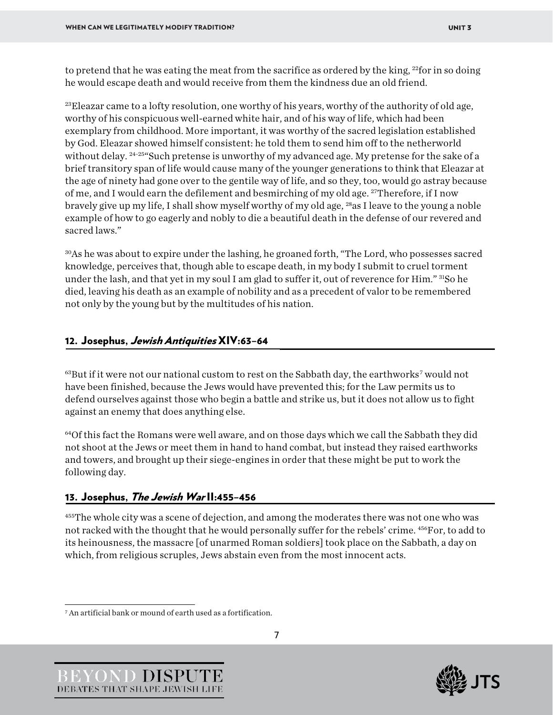to pretend that he was eating the meat from the sacrifice as ordered by the king, <sup>22</sup>for in so doing he would escape death and would receive from them the kindness due an old friend.

<sup>23</sup>Eleazar came to a lofty resolution, one worthy of his years, worthy of the authority of old age, worthy of his conspicuous well-earned white hair, and of his way of life, which had been exemplary from childhood. More important, it was worthy of the sacred legislation established by God. Eleazar showed himself consistent: he told them to send him off to the netherworld without delay. <sup>24-25</sup> Such pretense is unworthy of my advanced age. My pretense for the sake of a brief transitory span of life would cause many of the younger generations to think that Eleazar at the age of ninety had gone over to the gentile way of life, and so they, too, would go astray because of me, and I would earn the defilement and besmirching of my old age. 27Therefore, if I now bravely give up my life, I shall show myself worthy of my old age, 28as I leave to the young a noble example of how to go eagerly and nobly to die a beautiful death in the defense of our revered and sacred laws."

30As he was about to expire under the lashing, he groaned forth, "The Lord, who possesses sacred knowledge, perceives that, though able to escape death, in my body I submit to cruel torment under the lash, and that yet in my soul I am glad to suffer it, out of reverence for Him." 31So he died, leaving his death as an example of nobility and as a precedent of valor to be remembered not only by the young but by the multitudes of his nation.

# 12. Josephus, Jewish Antiquities XIV:63–64

 $63$ But if it were not our national custom to rest on the Sabbath day, the earthworks<sup>[7](#page-7-0)</sup> would not have been finished, because the Jews would have prevented this; for the Law permits us to defend ourselves against those who begin a battle and strike us, but it does not allow us to fight against an enemy that does anything else.

64Of this fact the Romans were well aware, and on those days which we call the Sabbath they did not shoot at the Jews or meet them in hand to hand combat, but instead they raised earthworks and towers, and brought up their siege-engines in order that these might be put to work the following day.

# 13. Josephus, The Jewish Warll: 455-456

455The whole city was a scene of dejection, and among the moderates there was not one who was not racked with the thought that he would personally suffer for the rebels' crime.  $456$ For, to add to its heinousness, the massacre [of unarmed Roman soldiers] took place on the Sabbath, a day on which, from religious scruples, Jews abstain even from the most innocent acts.



<span id="page-7-0"></span><sup>7</sup> An artificial bank or mound of earth used as a fortification.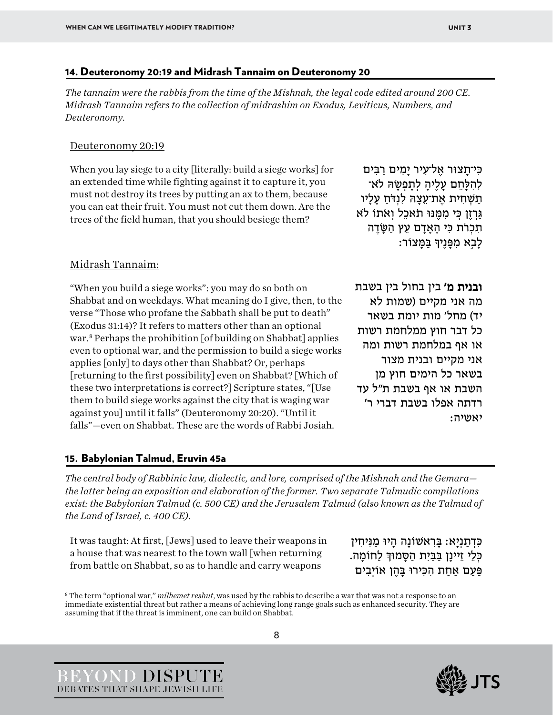#### 14. Deuteronomy 20:19 and Midrash Tannaim on Deuteronomy 20

*The tannaim were the rabbis from the time of the Mishnah, the legal code edited around 200 CE. Midrash Tannaim refers to the collection of midrashim on Exodus, Leviticus, Numbers, and Deuteronomy.*

#### Deuteronomy 20:19

When you lay siege to a city [literally: build a siege works] for an extended time while fighting against it to capture it, you must not destroy its trees by putting an ax to them, because you can eat their fruit. You must not cut them down. Are the trees of the field human, that you should besiege them?

כּי־תִצוּר אַל־עִיר ימים רבים לְהִלָּחֵם עַלֶיהַ לְתַפְשָׂהּ לֹא־ תַשְׁחִית אִת־עַצָהּ לִנְדֹּח עָלִיו גִּרְזֶן כִּי מִמֶּנּוּ תֹאכֶל וְאֹתוֹ לֹא תִכְרֹת כִּי הַאֲדָם עֵץ הַשֶּׂדֶה ַ לָבָא מִפָּנֵיךָ בַּמַּצוֹר:

#### Midrash Tannaim:

"When you build a siege works": you may do so both on Shabbat and on weekdays. What meaning do I give, then, to the verse "Those who profane the Sabbath shall be put to death" (Exodus 31:14)? It refers to matters other than an optional war. [8](#page-8-0) Perhaps the prohibition [of building on Shabbat] applies even to optional war, and the permission to build a siege works applies [only] to days other than Shabbat? Or, perhaps [returning to the first possibility] even on Shabbat? [Which of these two interpretations is correct?] Scripture states, "[Use them to build siege works against the city that is waging war against you] until it falls" (Deuteronomy 20:20). "Until it falls"—even on Shabbat. These are the words of Rabbi Josiah.

ובנית מ' בין בחול בין בשבת מה אני מקיים (שמות לא יד) מחל' מות יומת בשאר כל דבר חוץ ממלחמת רשות או אף במלחמת רשות ומה אני מקיים ובנית מצור בשאר כל הימים חוץ מן השבת או אף בשבת ת"ל עד רדתה אפלו בשבת דברי ר' יאשיה:

#### 15. Babylonian Talmud, Eruvin 45a

*The central body of Rabbinic law, dialectic, and lore, comprised of the Mishnah and the Gemara the latter being an exposition and elaboration of the former. Two separate Talmudic compilations exist: the Babylonian Talmud (c. 500 CE) and the Jerusalem Talmud (also known as the Talmud of the Land of Israel, c. 400 CE).*

It was taught: At first, [Jews] used to leave their weapons in a house that was nearest to the town wall [when returning from battle on Shabbat, so as to handle and carry weapons

כִּדְתַנְיָא: בַּרְאשׁוֹנַה הַיוּ מַנִּיחִין כְּלֵי זֵיינַן בִּבִּיָת הַסָּמוּדְּ לַחוֹמֵה. פַּעַם אַחַת הִכְּירוּ בַּהֶן אוֹיְבִים





<span id="page-8-0"></span><sup>8</sup> The term "optional war," *milhemet reshut*, was used by the rabbis to describe a war that was not a response to an immediate existential threat but rather a means of achieving long range goals such as enhanced security. They are assuming that if the threat is imminent, one can build on Shabbat.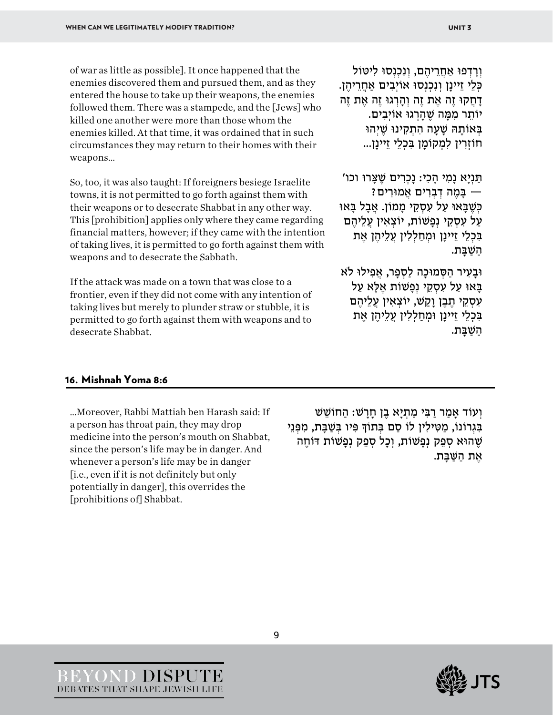of war as little as possible]. It once happened that the enemies discovered them and pursued them, and as they entered the house to take up their weapons, the enemies followed them. There was a stampede, and the [Jews] who killed one another were more than those whom the enemies killed. At that time, it was ordained that in such circumstances they may return to their homes with their weapons…

So, too, it was also taught: If foreigners besiege Israelite towns, it is not permitted to go forth against them with their weapons or to desecrate Shabbat in any other way. This [prohibition] applies only where they came regarding financial matters, however; if they came with the intention of taking lives, it is permitted to go forth against them with weapons and to desecrate the Sabbath.

If the attack was made on a town that was close to a frontier, even if they did not come with any intention of taking lives but merely to plunder straw or stubble, it is permitted to go forth against them with weapons and to desecrate Shabbat.

וְרָדְפוּ אַחֲרֵיהֶם, וְנִכְנְסוּ לִיטּוֹל כְּלֵי זֵיינַן וְנָכְנָסוּ אוֹיְבִים אַחֲרֵיהֶן. דָ חֲ קוּ זֶה אֶ ת זֶה וְ הָ רְ גוּ זֶה אֶ ת זֶה יוֹתֵר מִמַּה שֶׁהִרְגוּ אוֹיְבִים. בְּאוֹתָהּ שֶׁעָה הְתָקִינוּ שֵׁיְהוּ חוֹזְרִ ין לִמְ קוֹמָ ן בִּ כְלֵי זֵיינָן...

תַּ נְיָא נָמִ י הָ כִי: נָכְרִ ים שֶׁ צָּ רוּ וכו' ה בִּמָה דִבְרִים אֲמוּרִים *ו*ּ כִּשֶׁבַּאוּ עַל עִסְקֵי מַמוֹן. אֲבָל בַּאוּ עַל עִסְקֵי נְפַּשׁוֹת, יוֹצְאִין עֵלֶיהֶם בִּכְלֵי זֵיינָן וּמְחַלְלִין עֲלֵיהֶן אֶת השׁבּת.

וּבַעִיר הַסְמוּכָה לַסְפַר, אֲפִילוּ לֹא בִּאוּ עַל עִסְקֵי נְפַשׁוֹת אֶלָּא עַל עִסְקֵי חֶבֶן וַקַשׁ, יוֹצְאִין עֲלֵיהֶם בִּכְלֵי זֵיינָן וּמְחַלְלִין עֲלֵיהֶן אֶת השבת.

#### 16. Mishnah Yoma 8:6

…Moreover, Rabbi Mattiah ben Harash said: If a person has throat pain, they may drop medicine into the person's mouth on Shabbat, since the person's life may be in danger. And whenever a person's life may be in danger [i.e., even if it is not definitely but only potentially in danger], this overrides the [prohibitions of] Shabbat.

וְעוֹד אַמַר רַבִּי מַתְיַא בֵן חַרַשׁ: הַחוֹשֵׁשׁ בִּגְרוֹנוֹ, מַטִּילִין לוֹ סַם בְּתוֹךְ פִּיו בְּשַׁבַּת, מִפְּנֵי שֶׁהוּא סְפֵק נְפַשׁוֹת, וְכָל סְפֵק נְפַשׁוֹת דּוֹחֶה אֶ ת הַ שַּׁ בָּ ת.



9